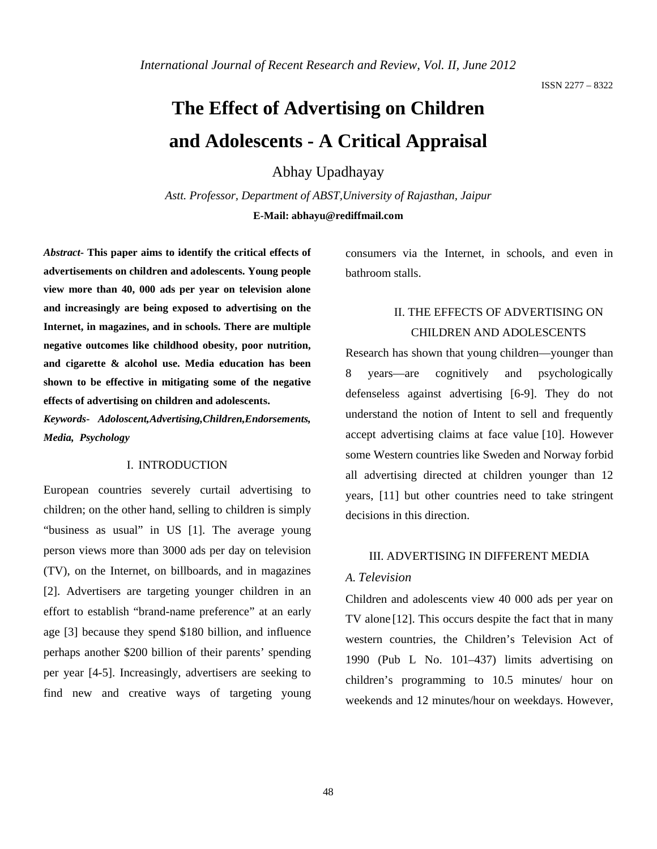# **The Effect of Advertising on Children and Adolescents - A Critical Appraisal**

### Abhay Upadhayay

*Astt. Professor, Department of ABST,University of Rajasthan, Jaipur* **E-Mail: abhayu@rediffmail.com**

*Abstract***- This paper aims to identify the critical effects of advertisements on children and adolescents. Young people view more than 40, 000 ads per year on television alone and increasingly are being exposed to advertising on the Internet, in magazines, and in schools. There are multiple negative outcomes like childhood obesity, poor nutrition, and cigarette & alcohol use. Media education has been shown to be effective in mitigating some of the negative effects of advertising on children and adolescents.**

*Keywords- Adoloscent,Advertising,Children,Endorsements, Media, Psychology*

#### I. INTRODUCTION

European countries severely curtail advertising to children; on the other hand, selling to children is simply "business as usual" in US [1]. The average young person views more than 3000 ads per day on television (TV), on the Internet, on billboards, and in magazines [2]. Advertisers are targeting younger children in an effort to establish "brand-name preference" at an early age [3] because they spend \$180 billion, and influence perhaps another \$200 billion of their parents' spending per year [4-5]. Increasingly, advertisers are seeking to find new and creative ways of targeting young

consumers via the Internet, in schools, and even in bathroom stalls.

# II. THE EFFECTS OF ADVERTISING ON CHILDREN AND ADOLESCENTS

Research has shown that young children—younger than 8 years—are cognitively and psychologically defenseless against advertising [6-9]. They do not understand the notion of Intent to sell and frequently accept advertising claims at face value [10]. However some Western countries like Sweden and Norway forbid all advertising directed at children younger than 12 years, [11] but other countries need to take stringent decisions in this direction.

#### III. ADVERTISING IN DIFFERENT MEDIA

#### *A. Television*

Children and adolescents view 40 000 ads per year on TV alone [12]. This occurs despite the fact that in many western countries, the Children's Television Act of 1990 (Pub L No. 101–437) limits advertising on children's programming to 10.5 minutes/ hour on weekends and 12 minutes/hour on weekdays. However,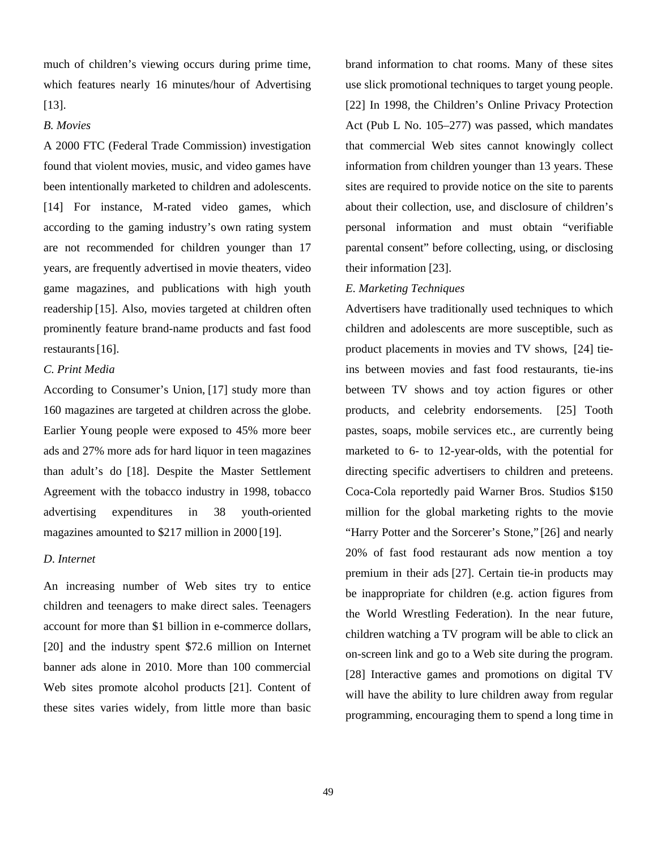much of children's viewing occurs during prime time, which features nearly 16 minutes/hour of Advertising [13].

#### *B. Movies*

A 2000 FTC (Federal Trade Commission) investigation found that violent movies, music, and video games have been intentionally marketed to children and adolescents. [14] For instance, M-rated video games, which according to the gaming industry's own rating system are not recommended for children younger than 17 years, are frequently advertised in movie theaters, video game magazines, and publications with high youth readership [15]. Also, movies targeted at children often prominently feature brand-name products and fast food restaurants [16].

#### *C. Print Media*

According to Consumer's Union, [17] study more than 160 magazines are targeted at children across the globe. Earlier Young people were exposed to 45% more beer ads and 27% more ads for hard liquor in teen magazines than adult's do [18]. Despite the Master Settlement Agreement with the tobacco industry in 1998, tobacco advertising expenditures in 38 youth-oriented magazines amounted to \$217 million in 2000 [19].

#### *D*. *Internet*

An increasing number of Web sites try to entice children and teenagers to make direct sales. Teenagers account for more than \$1 billion in e-commerce dollars, [20] and the industry spent \$72.6 million on Internet banner ads alone in 2010. More than 100 commercial Web sites promote alcohol products [21]. Content of these sites varies widely, from little more than basic

brand information to chat rooms. Many of these sites use slick promotional techniques to target young people. [22] In 1998, the Children's Online Privacy Protection Act (Pub L No. 105–277) was passed, which mandates that commercial Web sites cannot knowingly collect information from children younger than 13 years. These sites are required to provide notice on the site to parents about their collection, use, and disclosure of children's personal information and must obtain "verifiable parental consent" before collecting, using, or disclosing their information [23].

#### *E. Marketing Techniques*

Advertisers have traditionally used techniques to which children and adolescents are more susceptible, such as product placements in movies and TV shows, [24] tieins between movies and fast food restaurants, tie-ins between TV shows and toy action figures or other products, and celebrity endorsements. [25] Tooth pastes, soaps, mobile services etc., are currently being marketed to 6- to 12-year-olds, with the potential for directing specific advertisers to children and preteens. Coca-Cola reportedly paid Warner Bros. Studios \$150 million for the global marketing rights to the movie "Harry Potter and the Sorcerer's Stone," [26] and nearly 20% of fast food restaurant ads now mention a toy premium in their ads [27]. Certain tie-in products may be inappropriate for children (e.g. action figures from the World Wrestling Federation). In the near future, children watching a TV program will be able to click an on-screen link and go to a Web site during the program. [28] Interactive games and promotions on digital TV will have the ability to lure children away from regular programming, encouraging them to spend a long time in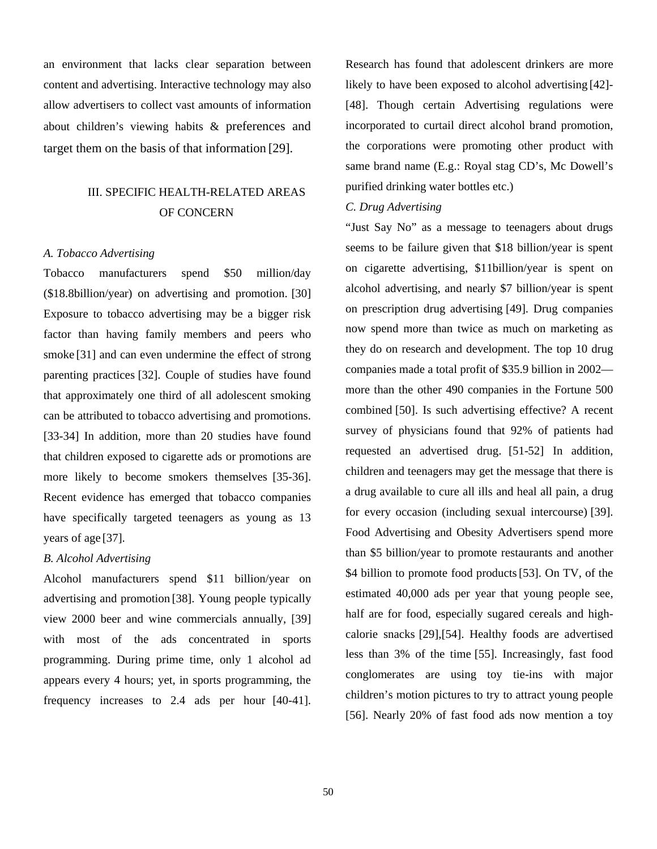an environment that lacks clear separation between content and advertising. Interactive technology may also allow advertisers to collect vast amounts of information about children's viewing habits & preferences and target them on the basis of that information [29].

## III. SPECIFIC HEALTH-RELATED AREAS OF CONCERN

#### *A. Tobacco Advertising*

Tobacco manufacturers spend \$50 million/day (\$18.8billion/year) on advertising and promotion. [30] Exposure to tobacco advertising may be a bigger risk factor than having family members and peers who smoke [31] and can even undermine the effect of strong parenting practices [32]. Couple of studies have found that approximately one third of all adolescent smoking can be attributed to tobacco advertising and promotions. [33-34] In addition, more than 20 studies have found that children exposed to cigarette ads or promotions are more likely to become smokers themselves [35-36]. Recent evidence has emerged that tobacco companies have specifically targeted teenagers as young as 13 years of age [37].

#### *B. Alcohol Advertising*

Alcohol manufacturers spend \$11 billion/year on advertising and promotion [38]. Young people typically view 2000 beer and wine commercials annually, [39] with most of the ads concentrated in sports programming. During prime time, only 1 alcohol ad appears every 4 hours; yet, in sports programming, the frequency increases to 2.4 ads per hour [40-41].

Research has found that adolescent drinkers are more likely to have been exposed to alcohol advertising [42]- [48]. Though certain Advertising regulations were incorporated to curtail direct alcohol brand promotion, the corporations were promoting other product with same brand name (E.g.: Royal stag CD's, Mc Dowell's purified drinking water bottles etc.)

#### *C. Drug Advertising*

"Just Say No" as a message to teenagers about drugs seems to be failure given that \$18 billion/year is spent on cigarette advertising, \$11billion/year is spent on alcohol advertising, and nearly \$7 billion/year is spent on prescription drug advertising [49]. Drug companies now spend more than twice as much on marketing as they do on research and development. The top 10 drug companies made a total profit of \$35.9 billion in 2002 more than the other 490 companies in the Fortune 500 combined [50]. Is such advertising effective? A recent survey of physicians found that 92% of patients had requested an advertised drug. [51-52] In addition, children and teenagers may get the message that there is a drug available to cure all ills and heal all pain, a drug for every occasion (including sexual intercourse) [39]. Food Advertising and Obesity Advertisers spend more than \$5 billion/year to promote restaurants and another \$4 billion to promote food products [53]. On TV, of the estimated 40,000 ads per year that young people see, half are for food, especially sugared cereals and highcalorie snacks [29],[54]. Healthy foods are advertised less than 3% of the time [55]. Increasingly, fast food conglomerates are using toy tie-ins with major children's motion pictures to try to attract young people [56]. Nearly 20% of fast food ads now mention a toy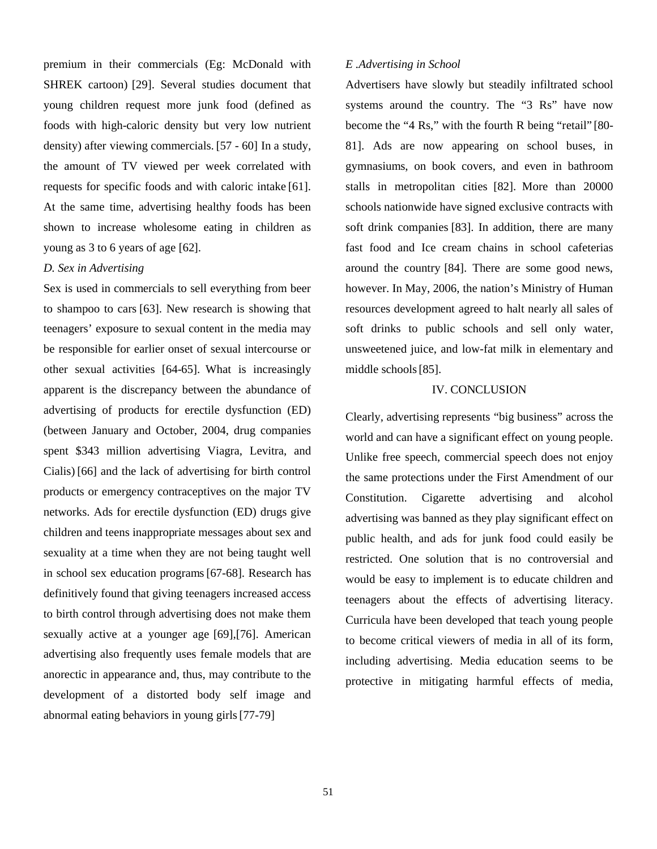premium in their commercials (Eg: McDonald with SHREK cartoon) [29]. Several studies document that young children request more junk food (defined as foods with high-caloric density but very low nutrient density) after viewing commercials. [57 - 60] In a study, the amount of TV viewed per week correlated with requests for specific foods and with caloric intake [61]. At the same time, advertising healthy foods has been shown to increase wholesome eating in children as young as 3 to 6 years of age [62].

#### *D. Sex in Advertising*

Sex is used in commercials to sell everything from beer to shampoo to cars [63]. New research is showing that teenagers' exposure to sexual content in the media may be responsible for earlier onset of sexual intercourse or other sexual activities [64-65]. What is increasingly apparent is the discrepancy between the abundance of advertising of products for erectile dysfunction (ED) (between January and October, 2004, drug companies spent \$343 million advertising Viagra, Levitra, and Cialis) [66] and the lack of advertising for birth control products or emergency contraceptives on the major TV networks. Ads for erectile dysfunction (ED) drugs give children and teens inappropriate messages about sex and sexuality at a time when they are not being taught well in school sex education programs [67-68]. Research has definitively found that giving teenagers increased access to birth control through advertising does not make them sexually active at a younger age [69],[76]. American advertising also frequently uses female models that are anorectic in appearance and, thus, may contribute to the development of a distorted body self image and abnormal eating behaviors in young girls [77-79]

#### *E .Advertising in School*

Advertisers have slowly but steadily infiltrated school systems around the country. The "3 Rs" have now become the "4 Rs," with the fourth R being "retail" [80- 81]. Ads are now appearing on school buses, in gymnasiums, on book covers, and even in bathroom stalls in metropolitan cities [82]. More than 20000 schools nationwide have signed exclusive contracts with soft drink companies [83]. In addition, there are many fast food and Ice cream chains in school cafeterias around the country [84]. There are some good news, however. In May, 2006, the nation's Ministry of Human resources development agreed to halt nearly all sales of soft drinks to public schools and sell only water, unsweetened juice, and low-fat milk in elementary and middle schools [85].

#### IV. CONCLUSION

Clearly, advertising represents "big business" across the world and can have a significant effect on young people. Unlike free speech, commercial speech does not enjoy the same protections under the First Amendment of our Constitution. Cigarette advertising and alcohol advertising was banned as they play significant effect on public health, and ads for junk food could easily be restricted. One solution that is no controversial and would be easy to implement is to educate children and teenagers about the effects of advertising literacy. Curricula have been developed that teach young people to become critical viewers of media in all of its form, including advertising. Media education seems to be protective in mitigating harmful effects of media,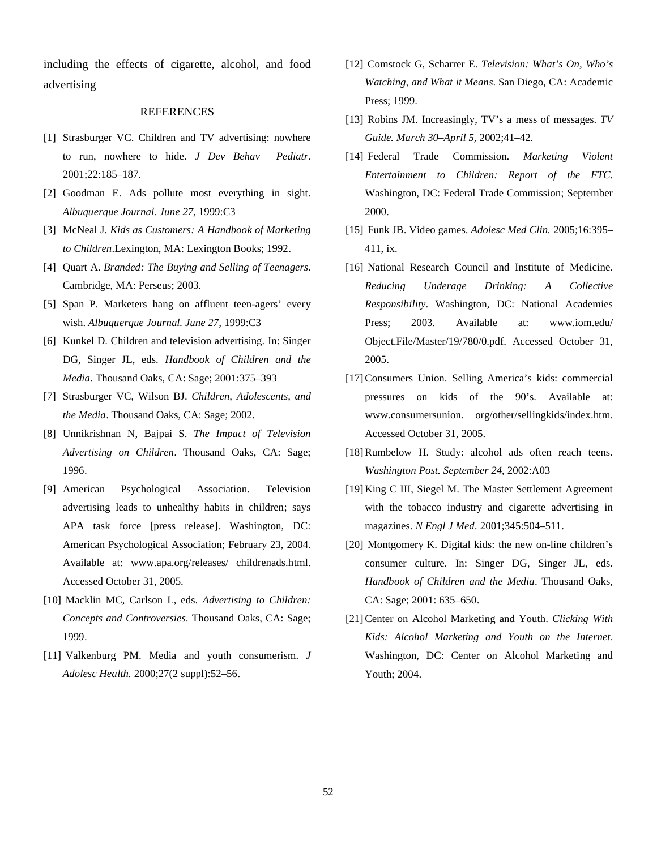including the effects of cigarette, alcohol, and food advertising

#### REFERENCES

- [1] Strasburger VC. Children and TV advertising: nowhere to run, nowhere to hide. *J Dev Behav Pediatr.*  2001;22:185–187.
- [2] Goodman E. Ads pollute most everything in sight. *Albuquerque Journal. June 27,* 1999:C3
- [3] McNeal J. *Kids as Customers: A Handbook of Marketing to Children*.Lexington, MA: Lexington Books; 1992.
- [4] Quart A. *Branded: The Buying and Selling of Teenagers*. Cambridge, MA: Perseus; 2003.
- [5] Span P. Marketers hang on affluent teen-agers' every wish. *Albuquerque Journal. June 27,* 1999:C3
- [6] Kunkel D. Children and television advertising. In: Singer DG, Singer JL, eds. *Handbook of Children and the Media*. Thousand Oaks, CA: Sage; 2001:375–393
- [7] Strasburger VC, Wilson BJ. *Children, Adolescents, and the Media*. Thousand Oaks, CA: Sage; 2002.
- [8] Unnikrishnan N, Bajpai S. *The Impact of Television Advertising on Children*. Thousand Oaks, CA: Sage; 1996.
- [9] American Psychological Association. Television advertising leads to unhealthy habits in children; says APA task force [press release]. Washington, DC: American Psychological Association; February 23, 2004. Available at: www.apa.org/releases/ childrenads.html. Accessed October 31, 2005.
- [10] Macklin MC, Carlson L, eds. *Advertising to Children: Concepts and Controversies*. Thousand Oaks, CA: Sage; 1999.
- [11] Valkenburg PM. Media and youth consumerism. *J Adolesc Health.* 2000;27(2 suppl):52–56.
- [12] Comstock G, Scharrer E. *Television: What's On, Who's Watching, and What it Means*. San Diego, CA: Academic Press; 1999.
- [13] Robins JM. Increasingly, TV's a mess of messages. *TV Guide. March 30–April 5,* 2002;41–42.
- [14] Federal Trade Commission. *Marketing Violent Entertainment to Children: Report of the FTC.*  Washington, DC: Federal Trade Commission; September 2000.
- [15] Funk JB. Video games. *Adolesc Med Clin.* 2005;16:395– 411, ix.
- [16] National Research Council and Institute of Medicine. *Reducing Underage Drinking: A Collective Responsibility*. Washington, DC: National Academies Press; 2003. Available at: www.iom.edu/ Object.File/Master/19/780/0.pdf. Accessed October 31, 2005.
- [17] Consumers Union. Selling America's kids: commercial pressures on kids of the 90's. Available at: www.consumersunion. org/other/sellingkids/index.htm. Accessed October 31, 2005.
- [18] Rumbelow H. Study: alcohol ads often reach teens. *Washington Post. September 24,* 2002:A03
- [19] King C III, Siegel M. The Master Settlement Agreement with the tobacco industry and cigarette advertising in magazines. *N Engl J Med.* 2001;345:504–511.
- [20] Montgomery K. Digital kids: the new on-line children's consumer culture. In: Singer DG, Singer JL, eds. *Handbook of Children and the Media*. Thousand Oaks, CA: Sage; 2001: 635–650.
- [21] Center on Alcohol Marketing and Youth. *Clicking With Kids: Alcohol Marketing and Youth on the Internet*. Washington, DC: Center on Alcohol Marketing and Youth; 2004.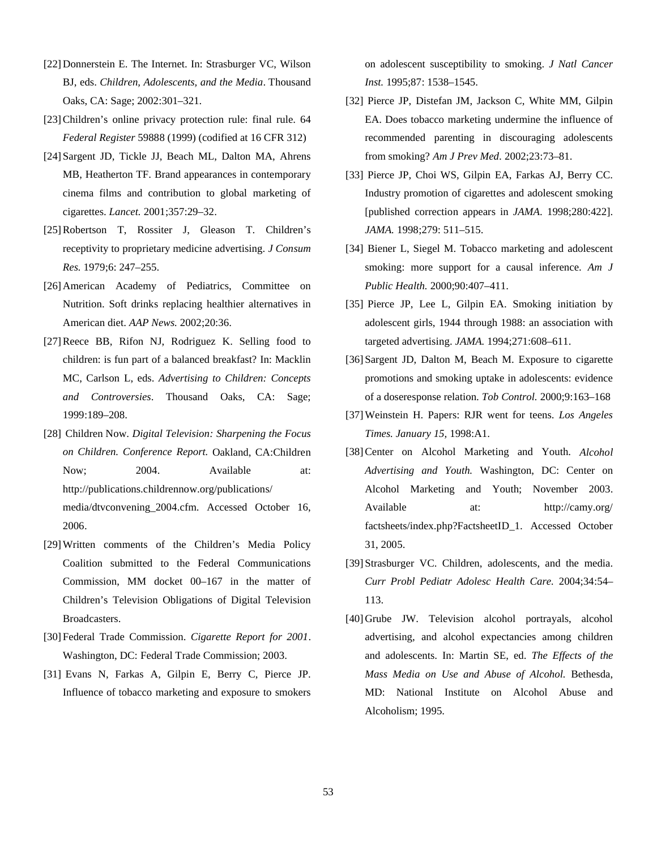- [22] Donnerstein E. The Internet. In: Strasburger VC, Wilson BJ, eds. *Children, Adolescents, and the Media*. Thousand Oaks, CA: Sage; 2002:301–321.
- [23] Children's online privacy protection rule: final rule. 64 *Federal Register* 59888 (1999) (codified at 16 CFR 312)
- [24] Sargent JD, Tickle JJ, Beach ML, Dalton MA, Ahrens MB, Heatherton TF. Brand appearances in contemporary cinema films and contribution to global marketing of cigarettes. *Lancet.* 2001;357:29–32.
- [25] Robertson T, Rossiter J, Gleason T. Children's receptivity to proprietary medicine advertising. *J Consum Res.* 1979;6: 247–255.
- [26] American Academy of Pediatrics, Committee on Nutrition. Soft drinks replacing healthier alternatives in American diet. *AAP News.* 2002;20:36.
- [27] Reece BB, Rifon NJ, Rodriguez K. Selling food to children: is fun part of a balanced breakfast? In: Macklin MC, Carlson L, eds. *Advertising to Children: Concepts and Controversies*. Thousand Oaks, CA: Sage; 1999:189–208.
- [28] Children Now. *Digital Television: Sharpening the Focus on Children. Conference Report.* Oakland, CA:Children Now; 2004. Available at: http://publications.childrennow.org/publications/ media/dtvconvening\_2004.cfm. Accessed October 16, 2006.
- [29] Written comments of the Children's Media Policy Coalition submitted to the Federal Communications Commission, MM docket 00–167 in the matter of Children's Television Obligations of Digital Television Broadcasters.
- [30] Federal Trade Commission. *Cigarette Report for 2001*. Washington, DC: Federal Trade Commission; 2003.
- [31] Evans N, Farkas A, Gilpin E, Berry C, Pierce JP. Influence of tobacco marketing and exposure to smokers

on adolescent susceptibility to smoking. *J Natl Cancer Inst.* 1995;87: 1538–1545.

- [32] Pierce JP, Distefan JM, Jackson C, White MM, Gilpin EA. Does tobacco marketing undermine the influence of recommended parenting in discouraging adolescents from smoking? *Am J Prev Med.* 2002;23:73–81.
- [33] Pierce JP, Choi WS, Gilpin EA, Farkas AJ, Berry CC. Industry promotion of cigarettes and adolescent smoking [published correction appears in *JAMA*. 1998;280:422]. *JAMA.* 1998;279: 511–515.
- [34] Biener L, Siegel M. Tobacco marketing and adolescent smoking: more support for a causal inference. *Am J Public Health.* 2000;90:407–411.
- [35] Pierce JP, Lee L, Gilpin EA. Smoking initiation by adolescent girls, 1944 through 1988: an association with targeted advertising. *JAMA.* 1994;271:608–611.
- [36] Sargent JD, Dalton M, Beach M. Exposure to cigarette promotions and smoking uptake in adolescents: evidence of a doseresponse relation. *Tob Control.* 2000;9:163–168
- [37] Weinstein H. Papers: RJR went for teens. *Los Angeles Times. January 15,* 1998:A1.
- [38] Center on Alcohol Marketing and Youth. *Alcohol Advertising and Youth.* Washington, DC: Center on Alcohol Marketing and Youth; November 2003. Available at: http://camy.org/ factsheets/index.php?FactsheetID\_1. Accessed October 31, 2005.
- [39] Strasburger VC. Children, adolescents, and the media. *Curr Probl Pediatr Adolesc Health Care.* 2004;34:54– 113.
- [40] Grube JW. Television alcohol portrayals, alcohol advertising, and alcohol expectancies among children and adolescents. In: Martin SE, ed. *The Effects of the Mass Media on Use and Abuse of Alcohol.* Bethesda, MD: National Institute on Alcohol Abuse and Alcoholism; 1995.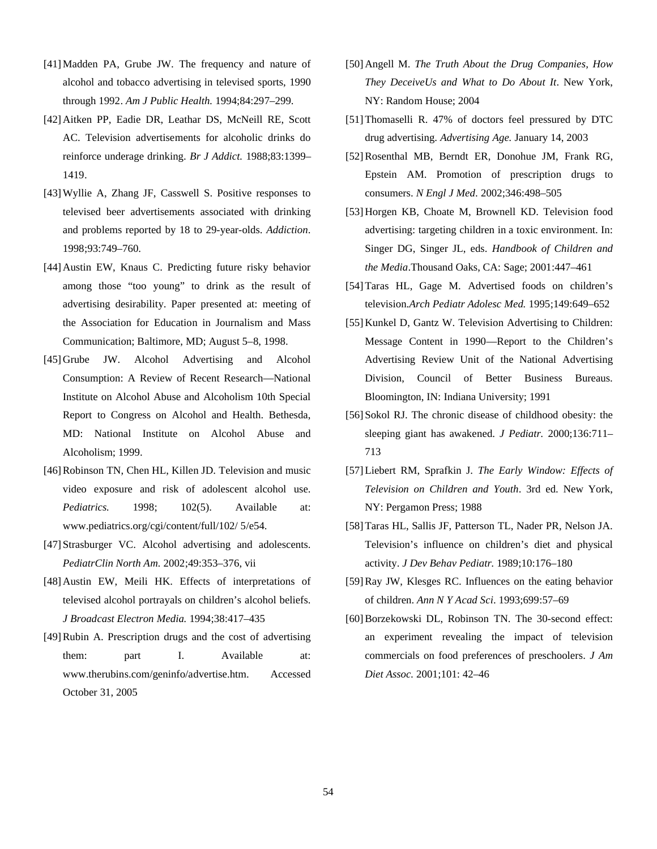- [41] Madden PA, Grube JW. The frequency and nature of alcohol and tobacco advertising in televised sports, 1990 through 1992. *Am J Public Health.* 1994;84:297–299.
- [42] Aitken PP, Eadie DR, Leathar DS, McNeill RE, Scott AC. Television advertisements for alcoholic drinks do reinforce underage drinking. *Br J Addict.* 1988;83:1399– 1419.
- [43] Wyllie A, Zhang JF, Casswell S. Positive responses to televised beer advertisements associated with drinking and problems reported by 18 to 29-year-olds. *Addiction.*  1998;93:749–760.
- [44] Austin EW, Knaus C. Predicting future risky behavior among those "too young" to drink as the result of advertising desirability. Paper presented at: meeting of the Association for Education in Journalism and Mass Communication; Baltimore, MD; August 5–8, 1998.
- [45] Grube JW. Alcohol Advertising and Alcohol Consumption: A Review of Recent Research—National Institute on Alcohol Abuse and Alcoholism 10th Special Report to Congress on Alcohol and Health. Bethesda, MD: National Institute on Alcohol Abuse and Alcoholism; 1999.
- [46] Robinson TN, Chen HL, Killen JD. Television and music video exposure and risk of adolescent alcohol use. *Pediatrics.* 1998; 102(5). Available at: www.pediatrics.org/cgi/content/full/102/ 5/e54.
- [47] Strasburger VC. Alcohol advertising and adolescents. *PediatrClin North Am.* 2002;49:353–376, vii
- [48] Austin EW, Meili HK. Effects of interpretations of televised alcohol portrayals on children's alcohol beliefs. *J Broadcast Electron Media.* 1994;38:417–435
- [49] Rubin A. Prescription drugs and the cost of advertising them: part I. Available at: www.therubins.com/geninfo/advertise.htm. Accessed October 31, 2005
- [50] Angell M. *The Truth About the Drug Companies, How They DeceiveUs and What to Do About It*. New York, NY: Random House; 2004
- [51] Thomaselli R. 47% of doctors feel pressured by DTC drug advertising. *Advertising Age.* January 14, 2003
- [52] Rosenthal MB, Berndt ER, Donohue JM, Frank RG, Epstein AM. Promotion of prescription drugs to consumers. *N Engl J Med.* 2002;346:498–505
- [53] Horgen KB, Choate M, Brownell KD. Television food advertising: targeting children in a toxic environment. In: Singer DG, Singer JL, eds. *Handbook of Children and the Media*.Thousand Oaks, CA: Sage; 2001:447–461
- [54] Taras HL, Gage M. Advertised foods on children's television.*Arch Pediatr Adolesc Med.* 1995;149:649–652
- [55] Kunkel D, Gantz W. Television Advertising to Children: Message Content in 1990—Report to the Children's Advertising Review Unit of the National Advertising Division, Council of Better Business Bureaus. Bloomington, IN: Indiana University; 1991
- [56] Sokol RJ. The chronic disease of childhood obesity: the sleeping giant has awakened. *J Pediatr.* 2000;136:711– 713
- [57] Liebert RM, Sprafkin J. *The Early Window: Effects of Television on Children and Youth*. 3rd ed. New York, NY: Pergamon Press; 1988
- [58] Taras HL, Sallis JF, Patterson TL, Nader PR, Nelson JA. Television's influence on children's diet and physical activity. *J Dev Behav Pediatr.* 1989;10:176–180
- [59] Ray JW, Klesges RC. Influences on the eating behavior of children. *Ann N Y Acad Sci*. 1993;699:57–69
- [60] Borzekowski DL, Robinson TN. The 30-second effect: an experiment revealing the impact of television commercials on food preferences of preschoolers. *J Am Diet Assoc.* 2001;101: 42–46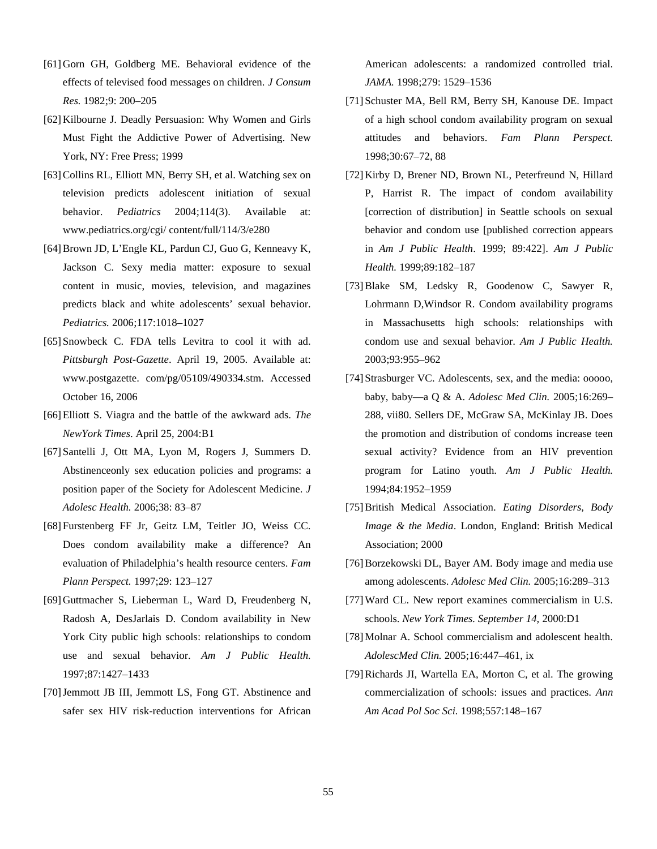- [61] Gorn GH, Goldberg ME. Behavioral evidence of the effects of televised food messages on children. *J Consum Res.* 1982;9: 200–205
- [62] Kilbourne J. Deadly Persuasion: Why Women and Girls Must Fight the Addictive Power of Advertising. New York, NY: Free Press; 1999
- [63] Collins RL, Elliott MN, Berry SH, et al. Watching sex on television predicts adolescent initiation of sexual behavior. *Pediatrics* 2004;114(3). Available at: www.pediatrics.org/cgi/ content/full/114/3/e280
- [64] Brown JD, L'Engle KL, Pardun CJ, Guo G, Kenneavy K, Jackson C. Sexy media matter: exposure to sexual content in music, movies, television, and magazines predicts black and white adolescents' sexual behavior. *Pediatrics.* 2006;117:1018–1027
- [65] Snowbeck C. FDA tells Levitra to cool it with ad. *Pittsburgh Post-Gazette*. April 19, 2005. Available at: www.postgazette. com/pg/05109/490334.stm. Accessed October 16, 2006
- [66] Elliott S. Viagra and the battle of the awkward ads. *The NewYork Times*. April 25, 2004:B1
- [67] Santelli J, Ott MA, Lyon M, Rogers J, Summers D. Abstinenceonly sex education policies and programs: a position paper of the Society for Adolescent Medicine. *J Adolesc Health.* 2006;38: 83–87
- [68] Furstenberg FF Jr, Geitz LM, Teitler JO, Weiss CC. Does condom availability make a difference? An evaluation of Philadelphia's health resource centers. *Fam Plann Perspect.* 1997;29: 123–127
- [69] Guttmacher S, Lieberman L, Ward D, Freudenberg N, Radosh A, DesJarlais D. Condom availability in New York City public high schools: relationships to condom use and sexual behavior. *Am J Public Health.*  1997;87:1427–1433
- [70] Jemmott JB III, Jemmott LS, Fong GT. Abstinence and safer sex HIV risk-reduction interventions for African

American adolescents: a randomized controlled trial. *JAMA.* 1998;279: 1529–1536

- [71] Schuster MA, Bell RM, Berry SH, Kanouse DE. Impact of a high school condom availability program on sexual attitudes and behaviors. *Fam Plann Perspect.*  1998;30:67–72, 88
- [72] Kirby D, Brener ND, Brown NL, Peterfreund N, Hillard P, Harrist R. The impact of condom availability [correction of distribution] in Seattle schools on sexual behavior and condom use [published correction appears in *Am J Public Health*. 1999; 89:422]. *Am J Public Health.* 1999;89:182–187
- [73] Blake SM, Ledsky R, Goodenow C, Sawyer R, Lohrmann D,Windsor R. Condom availability programs in Massachusetts high schools: relationships with condom use and sexual behavior. *Am J Public Health.*  2003;93:955–962
- [74] Strasburger VC. Adolescents, sex, and the media: ooooo, baby, baby—a Q & A. *Adolesc Med Clin.* 2005;16:269– 288, vii80. Sellers DE, McGraw SA, McKinlay JB. Does the promotion and distribution of condoms increase teen sexual activity? Evidence from an HIV prevention program for Latino youth. *Am J Public Health.*  1994;84:1952–1959
- [75] British Medical Association. *Eating Disorders, Body Image & the Media*. London, England: British Medical Association; 2000
- [76] Borzekowski DL, Bayer AM. Body image and media use among adolescents. *Adolesc Med Clin.* 2005;16:289–313
- [77] Ward CL. New report examines commercialism in U.S. schools. *New York Times. September 14,* 2000:D1
- [78] Molnar A. School commercialism and adolescent health. *AdolescMed Clin.* 2005;16:447–461, ix
- [79] Richards JI, Wartella EA, Morton C, et al. The growing commercialization of schools: issues and practices. *Ann Am Acad Pol Soc Sci.* 1998;557:148–167